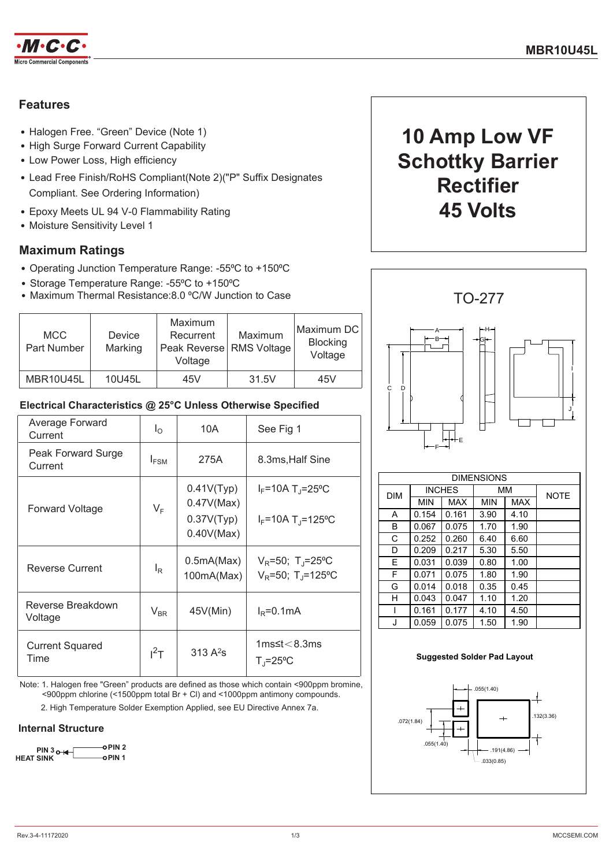

## **Features**

- Halogen Free. "Green" Device (Note 1)
- High Surge Forward Current Capability
- Low Power Loss, High efficiency
- Lead Free Finish/RoHS Compliant(Note 2)("P" Suffix Designates Compliant. See Ordering Information)
- Epoxy Meets UL 94 V-0 Flammability Rating
- Moisture Sensitivity Level 1

### **Maximum Ratings**

- Operating Junction Temperature Range: -55°C to +150°C
- Storage Temperature Range: -55°C to +150°C
- Maximum Thermal Resistance: 8.0 °C/W Junction to Case

| <b>MCC</b><br>Part Number | <b>Device</b><br>Marking | Maximum<br>Recurrent<br>Peak Reverse   RMS Voltage<br>Voltage | Maximum | Maximum DC<br><b>Blocking</b><br>Voltage |
|---------------------------|--------------------------|---------------------------------------------------------------|---------|------------------------------------------|
| MBR10U45L                 | 10U45L                   | 45V                                                           | 31.5V   | 45V                                      |

### Electrical Characteristics @ 25°C Unless Otherwise Specified

| Average Forward<br>Current     | $I_{\odot}$      | 10A                                                  | See Fig 1                                                                            |
|--------------------------------|------------------|------------------------------------------------------|--------------------------------------------------------------------------------------|
| Peak Forward Surge<br>Current  | $I_{FSM}$        | 275A                                                 | 8.3ms, Half Sine                                                                     |
| Forward Voltage                | $V_F$            | 0.41V(Typ)<br>0.47V(Max)<br>0.37V(Typ)<br>0.40V(Max) | $I_F$ =10A T <sub>J</sub> =25°C<br>$I_F = 10A T_I = 125°C$                           |
| <b>Reverse Current</b>         | $I_{\mathsf{R}}$ | 0.5mA(Max)<br>100mA(Max)                             | $V_R = 50$ ; T <sub>J</sub> =25 <sup>o</sup> C<br>$V_R = 50$ ; T <sub>J</sub> =125°C |
| Reverse Breakdown<br>Voltage   | $V_{BR}$         | 45V(Min)                                             | $I_R = 0.1 \text{mA}$                                                                |
| <b>Current Squared</b><br>Time | $I^2$ T          | $313A^2s$                                            | $1ms$ ≤t $<$ 8.3ms<br>$T_{\parallel} = 25^{\circ}C$                                  |

Note: 1. Halogen free "Green" products are defined as those which contain <900ppm bromine, <900ppm chlorine (<1500ppm total Br + Cl) and <1000ppm antimony compounds.

2. High Temperature Solder Exemption Applied, see EU Directive Annex 7a.

### **Internal Structure**







| <b>DIM</b> |            |            | ,,,,,,,    |            | <b>NOTE</b> |
|------------|------------|------------|------------|------------|-------------|
|            | <b>MIN</b> | <b>MAX</b> | <b>MIN</b> | <b>MAX</b> |             |
| A          | 0.154      | 0.161      | 3.90       | 4.10       |             |
| В          | 0.067      | 0.075      | 1.70       | 1.90       |             |
| C          | 0.252      | 0.260      | 6.40       | 6.60       |             |
| D          | 0.209      | 0.217      | 5.30       | 5.50       |             |
| E          | 0.031      | 0.039      | 0.80       | 1.00       |             |
| F          | 0.071      | 0.075      | 1.80       | 1.90       |             |
| G          | 0.014      | 0.018      | 0.35       | 0.45       |             |
| н          | 0.043      | 0.047      | 1.10       | 1.20       |             |
|            | 0.161      | 0.177      | 4.10       | 4.50       |             |
| J.         | 0.059      | 0.075      | 1.50       | 1.90       |             |

#### **Suggested Solder Pad Layout**

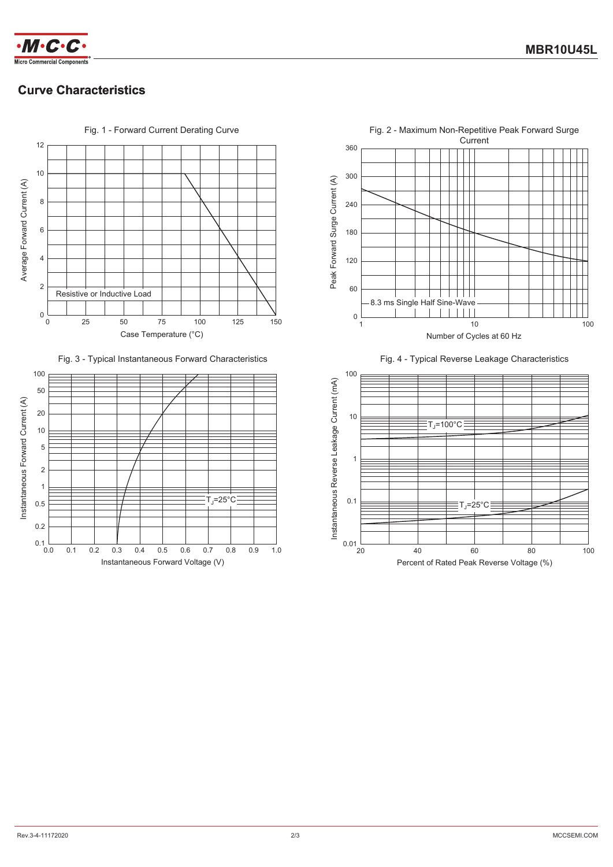

# **Curve Characteristics**